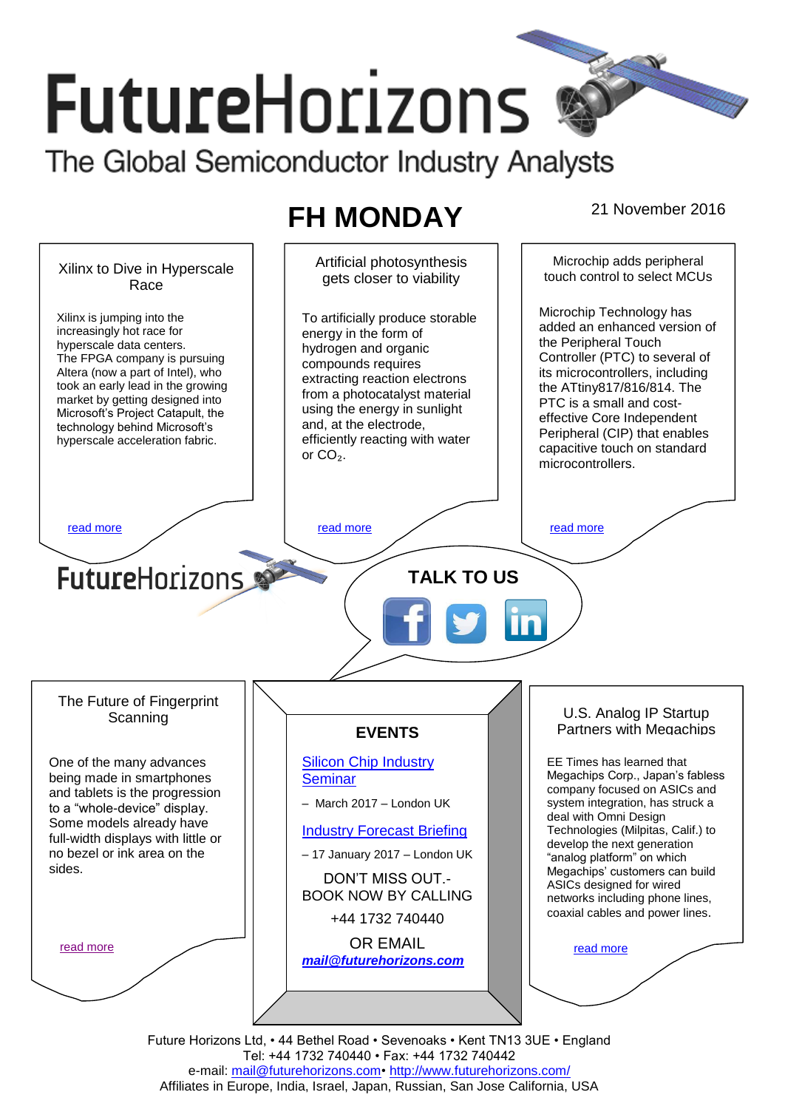# **FutureHorizons** The Global Semiconductor Industry Analysts

## **FH MONDAY** 21 November 2016



e-mail: mail@futurehorizons.com• http://www.futurehorizons.com/ Affiliates in Europe, India, Israel, Japan, Russian, San Jose California, USA